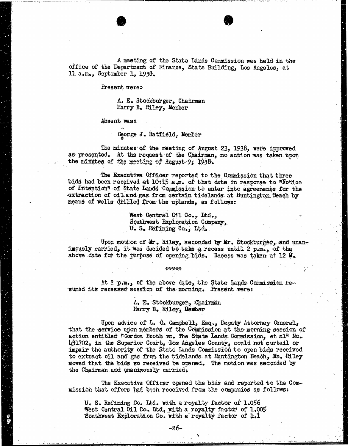A meeting of the State Lands Commission was held in the office of the Department of Finance, State Building, Los Angeles, at 1l. a.m., September 1, 1938.

Present were:

A. E. Stockburger, Chairman Harry B. Riley, Member

Absent was:

George J. Hatfield, Member

The minutes of the meeting of August 23, 1938, were approved as presented. At the request of the Chairman, no action was taken upon the minutes of the meeting of August 9, 1938.

The Executive Officer reported to the Commission that three bids had been received at 10:15 a.m. of that date in response to "Notice of Intention" of State Lands Commission to enter into agreements for the extraction of oil and gas from certain tidelands at Huntington Beach by means of wells drilled from the uplands, as follows:

> West Central Oil Co., Itd., Southwest Exploration Company, U. S. Refining Co., Ltd.

Upon motion of Mr. Riley, seconded by Mr. Stockburger, and unanimously carried, it was decided to take a recess until 2 p.m,, of the above date for the purpose of opening bids. Recess was taken at 12 M.

At 2 p.m., of the above date, the State Lands Commission re- sumed its recessed session of the morning. Present were:

> A. E. Stockburger, Chairman Harry B. Riley, Member

\*\*\*\*\*

Upon advice of L. G. Campbell, Esq., Deputy Attorney General, that the service upon members of the Commission at the morning session of action entitled "Gordon Booth vs. The State Lands Commission, et al" No. 431702, in the Superior Court, Los Angeles County, could not curtail or impair the authority of the State Lands Commission to open bids received to extract oil and gas from the tidelands at Huntington Beach, Mr. Riley moved that the bids so received be opened. The motion was seconded by the Chairman and unanimously carried.

The Executive Officer opened the bids and reported to the Commission that offers had been received from the companies as follows:

U. S. Refining Co. Itd. with a royalty factor of 1.056 West Central Oil Co. Itd, with a royalty factor of 1.005 Southwest Exploration Co. with a royalty factor of 1.1